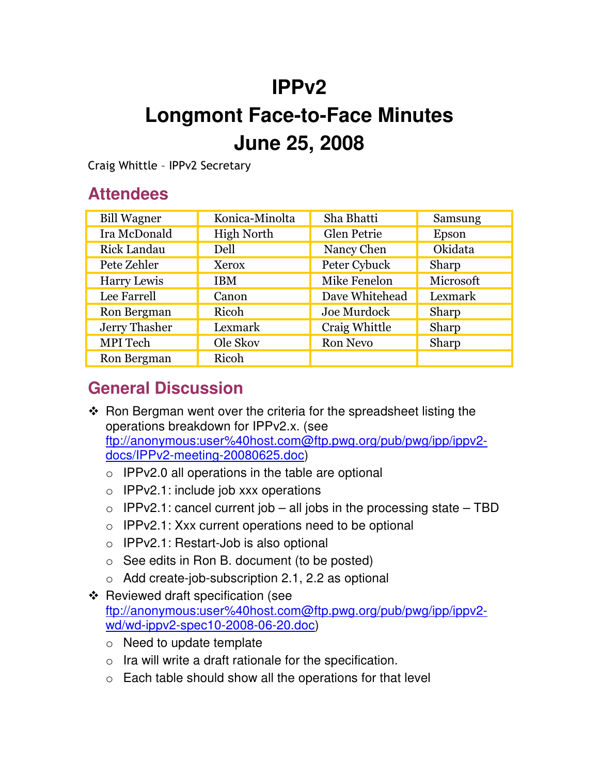## **IPPv2**

# **Longmont Face-to-Face Minutes June 25, 2008**

Craig Whittle - IPPv2 Secretary

#### **Attendees**

| <b>Bill Wagner</b> | Konica-Minolta    | Sha Bhatti      | Samsung   |
|--------------------|-------------------|-----------------|-----------|
| Ira McDonald       | <b>High North</b> | Glen Petrie     | Epson     |
| <b>Rick Landau</b> | Dell              | Nancy Chen      | Okidata   |
| Pete Zehler        | Xerox             | Peter Cybuck    | Sharp     |
| Harry Lewis        | <b>IBM</b>        | Mike Fenelon    | Microsoft |
| Lee Farrell        | Canon             | Dave Whitehead  | Lexmark   |
| Ron Bergman        | Ricoh             | Joe Murdock     | Sharp     |
| Jerry Thasher      | Lexmark           | Craig Whittle   | Sharp     |
| MPI Tech           | Ole Skov          | <b>Ron Nevo</b> | Sharp     |
| Ron Bergman        | Ricoh             |                 |           |

#### **General Discussion**

- $\cdot$  Ron Bergman went over the criteria for the spreadsheet listing the operations breakdown for IPPv2.x. (see ftp://anonymous:user%40host.com@ftp.pwg.org/pub/pwg/ipp/ippv2 docs/IPPv2-meeting-20080625.doc)
	- $\circ$  IPPv2.0 all operations in the table are optional
	- $\circ$  IPPv2.1: include job xxx operations
	- $\circ$  IPPv2.1: cancel current job all jobs in the processing state TBD
	- $\circ$  IPPv2.1: Xxx current operations need to be optional
	- o IPPv2.1: Restart-Job is also optional
	- $\circ$  See edits in Ron B. document (to be posted)
	- o Add create-job-subscription 2.1, 2.2 as optional
- $\div$  Reviewed draft specification (see ftp://anonymous:user%40host.com@ftp.pwg.org/pub/pwg/ipp/ippv2 wd/wd-ippv2-spec10-2008-06-20.doc)
	- o Need to update template
	- $\circ$  Ira will write a draft rationale for the specification.
	- $\circ$  Each table should show all the operations for that level